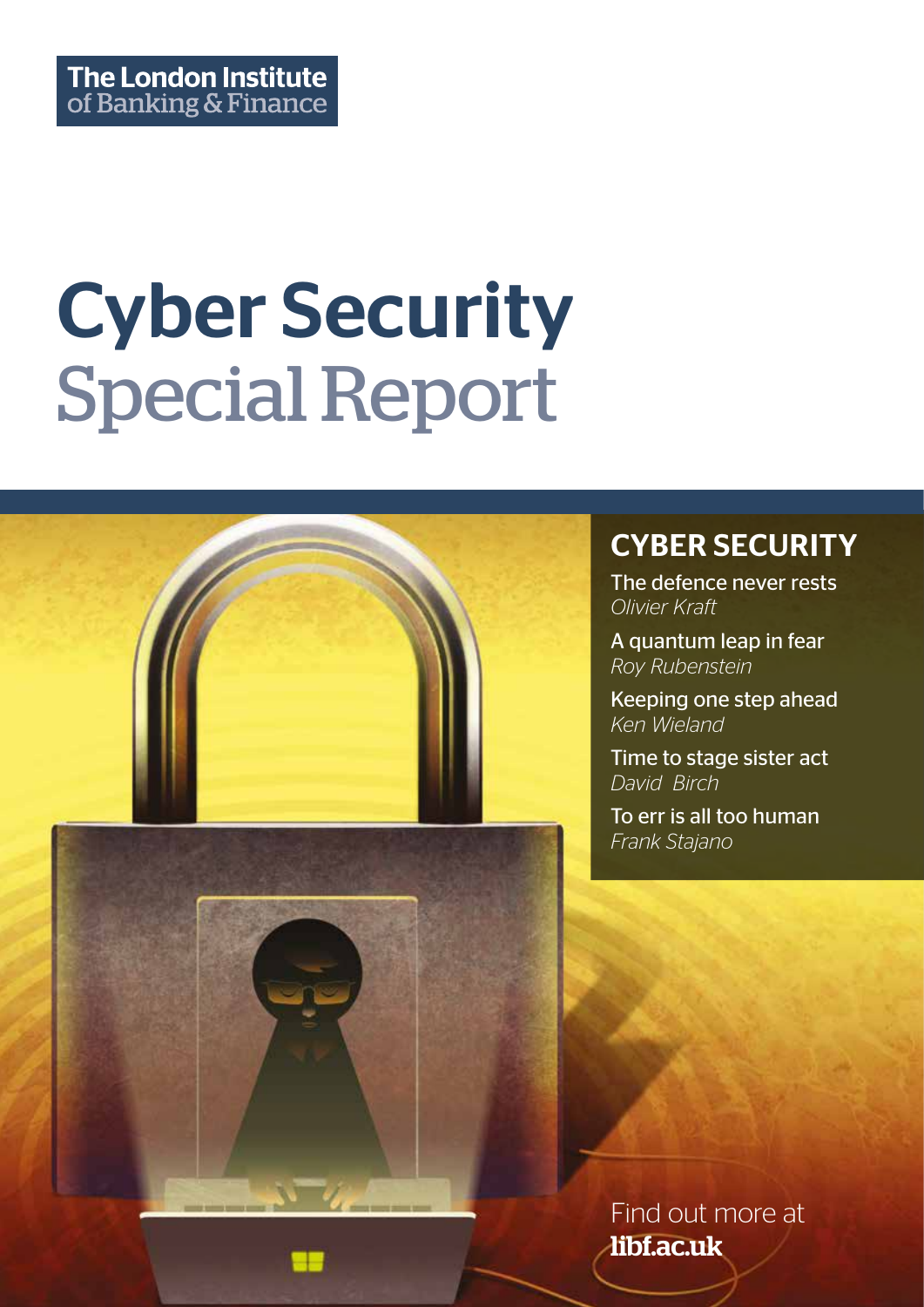# Cyber Security Special Report



### CYBER SECURITY

The defence never rests *Olivier Kraft*

A quantum leap in fear *Roy Rubenstein*

Keeping one step ahead *Ken Wieland*

Time to stage sister act *David Birch*

To err is all too human *Frank Stajano*

Find out more at libf.ac.uk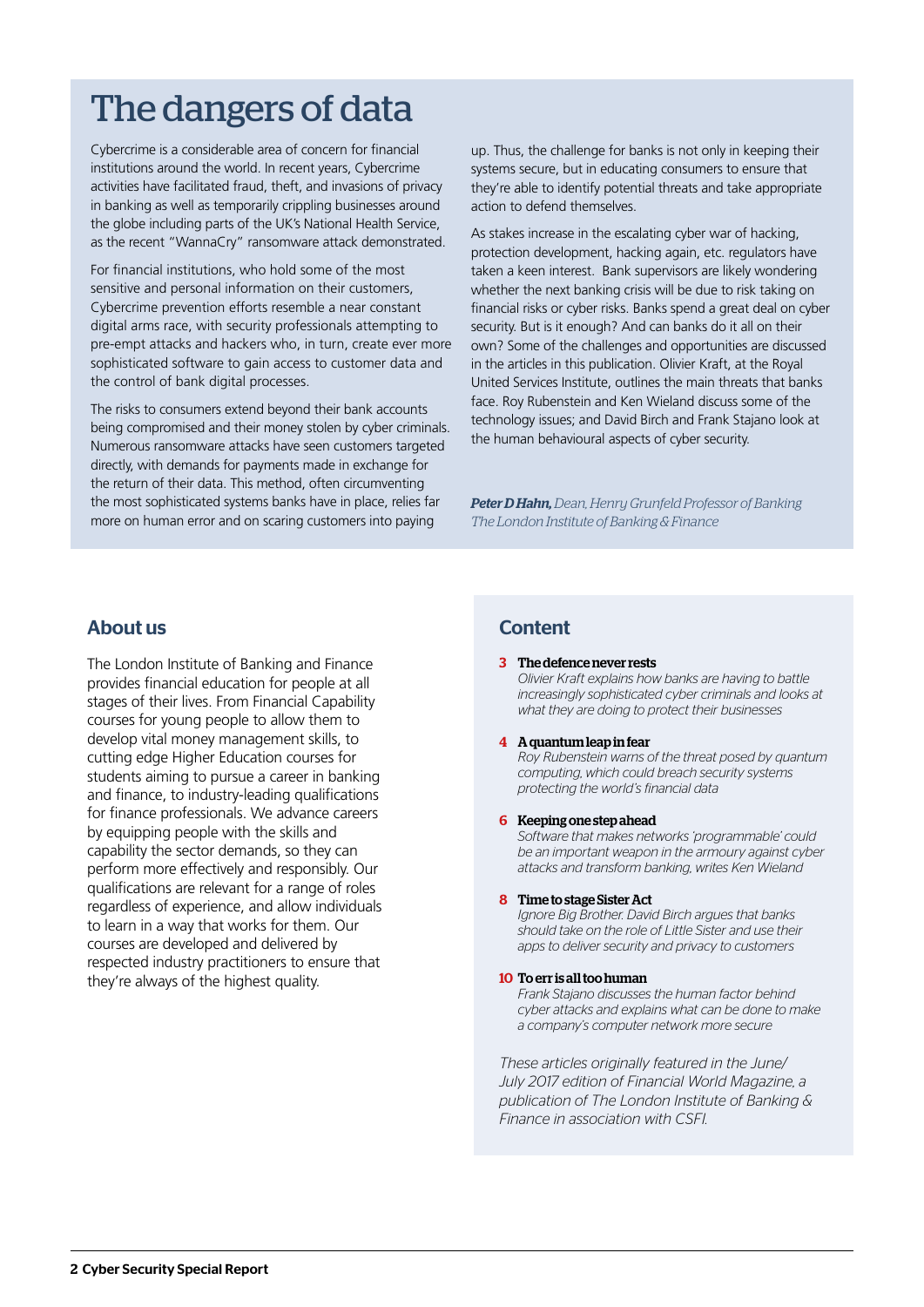## The dangers of data

Cybercrime is a considerable area of concern for financial institutions around the world. In recent years, Cybercrime activities have facilitated fraud, theft, and invasions of privacy in banking as well as temporarily crippling businesses around the globe including parts of the UK's National Health Service, as the recent "WannaCry" ransomware attack demonstrated.

For financial institutions, who hold some of the most sensitive and personal information on their customers, Cybercrime prevention efforts resemble a near constant digital arms race, with security professionals attempting to pre-empt attacks and hackers who, in turn, create ever more sophisticated software to gain access to customer data and the control of bank digital processes.

The risks to consumers extend beyond their bank accounts being compromised and their money stolen by cyber criminals. Numerous ransomware attacks have seen customers targeted directly, with demands for payments made in exchange for the return of their data. This method, often circumventing the most sophisticated systems banks have in place, relies far more on human error and on scaring customers into paying

up. Thus, the challenge for banks is not only in keeping their systems secure, but in educating consumers to ensure that they're able to identify potential threats and take appropriate action to defend themselves.

As stakes increase in the escalating cyber war of hacking, protection development, hacking again, etc. regulators have taken a keen interest. Bank supervisors are likely wondering whether the next banking crisis will be due to risk taking on financial risks or cyber risks. Banks spend a great deal on cyber security. But is it enough? And can banks do it all on their own? Some of the challenges and opportunities are discussed in the articles in this publication. Olivier Kraft, at the Royal United Services Institute, outlines the main threats that banks face. Roy Rubenstein and Ken Wieland discuss some of the technology issues; and David Birch and Frank Stajano look at the human behavioural aspects of cyber security.

*Peter D Hahn, Dean, Henry Grunfeld Professor of Banking The London Institute of Banking & Finance*

#### About us

The London Institute of Banking and Finance provides financial education for people at all stages of their lives. From Financial Capability courses for young people to allow them to develop vital money management skills, to cutting edge Higher Education courses for students aiming to pursue a career in banking and finance, to industry-leading qualifications for finance professionals. We advance careers by equipping people with the skills and capability the sector demands, so they can perform more effectively and responsibly. Our qualifications are relevant for a range of roles regardless of experience, and allow individuals to learn in a way that works for them. Our courses are developed and delivered by respected industry practitioners to ensure that they're always of the highest quality.

#### **Content**

3 The defence never rests

 *Olivier Kraft explains how banks are having to battle increasingly sophisticated cyber criminals and looks at what they are doing to protect their businesses*

#### 4 A quantum leap in fear

 *Roy Rubenstein warns of the threat posed by quantum computing, which could breach security systems protecting the world's financial data*

#### 6 Keeping one step ahead

 *Software that makes networks 'programmable' could be an important weapon in the armoury against cyber attacks and transform banking, writes Ken Wieland*

#### 8 Time to stage Sister Act

 *Ignore Big Brother. David Birch argues that banks should take on the role of Little Sister and use their apps to deliver security and privacy to customers*

#### 10 To err is all too human

 *Frank Stajano discusses the human factor behind cyber attacks and explains what can be done to make a company's computer network more secure*

*These articles originally featured in the June/ July 2017 edition of Financial World Magazine, a publication of The London Institute of Banking & Finance in association with CSFI.*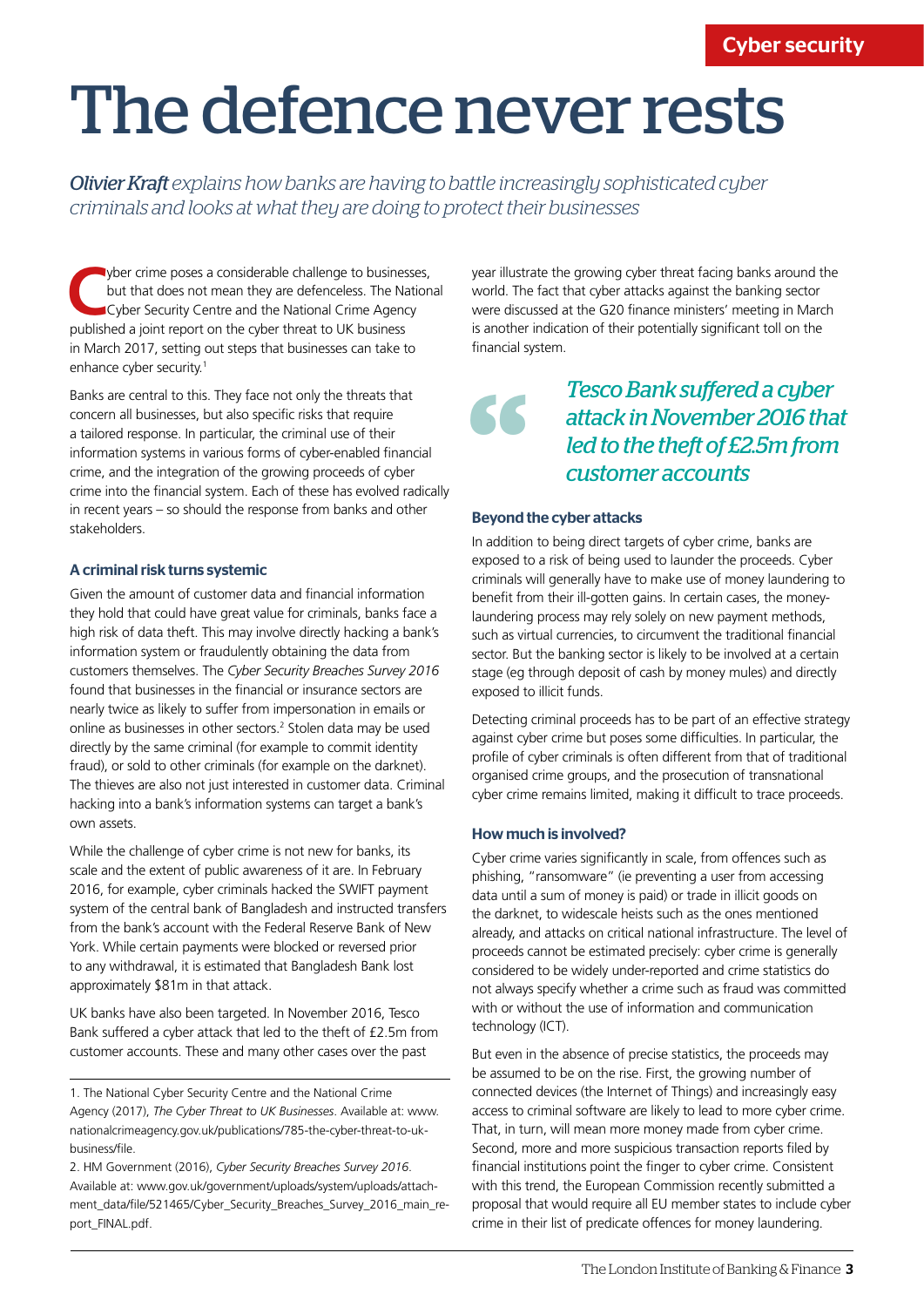## The defence never rests

*Olivier Kraft explains how banks are having to battle increasingly sophisticated cyber criminals and looks at what they are doing to protect their businesses*

**C**yber crime poses a considerable challenge to businesses, but that does not mean they are defenceless. The National Cyber Security Centre and the National Crime Agency published a joint report on the cyber threat to UK business in March 2017, setting out steps that businesses can take to enhance cyber security.<sup>1</sup>

Banks are central to this. They face not only the threats that concern all businesses, but also specific risks that require a tailored response. In particular, the criminal use of their information systems in various forms of cyber-enabled financial crime, and the integration of the growing proceeds of cyber crime into the financial system. Each of these has evolved radically in recent years – so should the response from banks and other stakeholders.

#### A criminal risk turns systemic

Given the amount of customer data and financial information they hold that could have great value for criminals, banks face a high risk of data theft. This may involve directly hacking a bank's information system or fraudulently obtaining the data from customers themselves. The *Cyber Security Breaches Survey 2016* found that businesses in the financial or insurance sectors are nearly twice as likely to suffer from impersonation in emails or online as businesses in other sectors.<sup>2</sup> Stolen data may be used directly by the same criminal (for example to commit identity fraud), or sold to other criminals (for example on the darknet). The thieves are also not just interested in customer data. Criminal hacking into a bank's information systems can target a bank's own assets.

While the challenge of cyber crime is not new for banks, its scale and the extent of public awareness of it are. In February 2016, for example, cyber criminals hacked the SWIFT payment system of the central bank of Bangladesh and instructed transfers from the bank's account with the Federal Reserve Bank of New York. While certain payments were blocked or reversed prior to any withdrawal, it is estimated that Bangladesh Bank lost approximately \$81m in that attack.

UK banks have also been targeted. In November 2016, Tesco Bank suffered a cyber attack that led to the theft of £2.5m from customer accounts. These and many other cases over the past

2. HM Government (2016), *Cyber Security Breaches Survey 2016*. Available at: www.gov.uk/government/uploads/system/uploads/attachment\_data/file/521465/Cyber\_Security\_Breaches\_Survey\_2016\_main\_report\_FINAL.pdf.

year illustrate the growing cyber threat facing banks around the world. The fact that cyber attacks against the banking sector were discussed at the G20 finance ministers' meeting in March is another indication of their potentially significant toll on the financial system.

> *Tesco Bank suffered a cyber attack in November 2016 that led to the theft of £2.5m from customer accounts*

#### Beyond the cyber attacks

"

In addition to being direct targets of cyber crime, banks are exposed to a risk of being used to launder the proceeds. Cyber criminals will generally have to make use of money laundering to benefit from their ill-gotten gains. In certain cases, the moneylaundering process may rely solely on new payment methods, such as virtual currencies, to circumvent the traditional financial sector. But the banking sector is likely to be involved at a certain stage (eg through deposit of cash by money mules) and directly exposed to illicit funds.

Detecting criminal proceeds has to be part of an effective strategy against cyber crime but poses some difficulties. In particular, the profile of cyber criminals is often different from that of traditional organised crime groups, and the prosecution of transnational cyber crime remains limited, making it difficult to trace proceeds.

#### How much is involved?

Cyber crime varies significantly in scale, from offences such as phishing, "ransomware" (ie preventing a user from accessing data until a sum of money is paid) or trade in illicit goods on the darknet, to widescale heists such as the ones mentioned already, and attacks on critical national infrastructure. The level of proceeds cannot be estimated precisely: cyber crime is generally considered to be widely under-reported and crime statistics do not always specify whether a crime such as fraud was committed with or without the use of information and communication technology (ICT).

But even in the absence of precise statistics, the proceeds may be assumed to be on the rise. First, the growing number of connected devices (the Internet of Things) and increasingly easy access to criminal software are likely to lead to more cyber crime. That, in turn, will mean more money made from cyber crime. Second, more and more suspicious transaction reports filed by financial institutions point the finger to cyber crime. Consistent with this trend, the European Commission recently submitted a proposal that would require all EU member states to include cyber crime in their list of predicate offences for money laundering.

<sup>1.</sup> The National Cyber Security Centre and the National Crime Agency (2017), *The Cyber Threat to UK Businesses*. Available at: www. nationalcrimeagency.gov.uk/publications/785-the-cyber-threat-to-ukbusiness/file.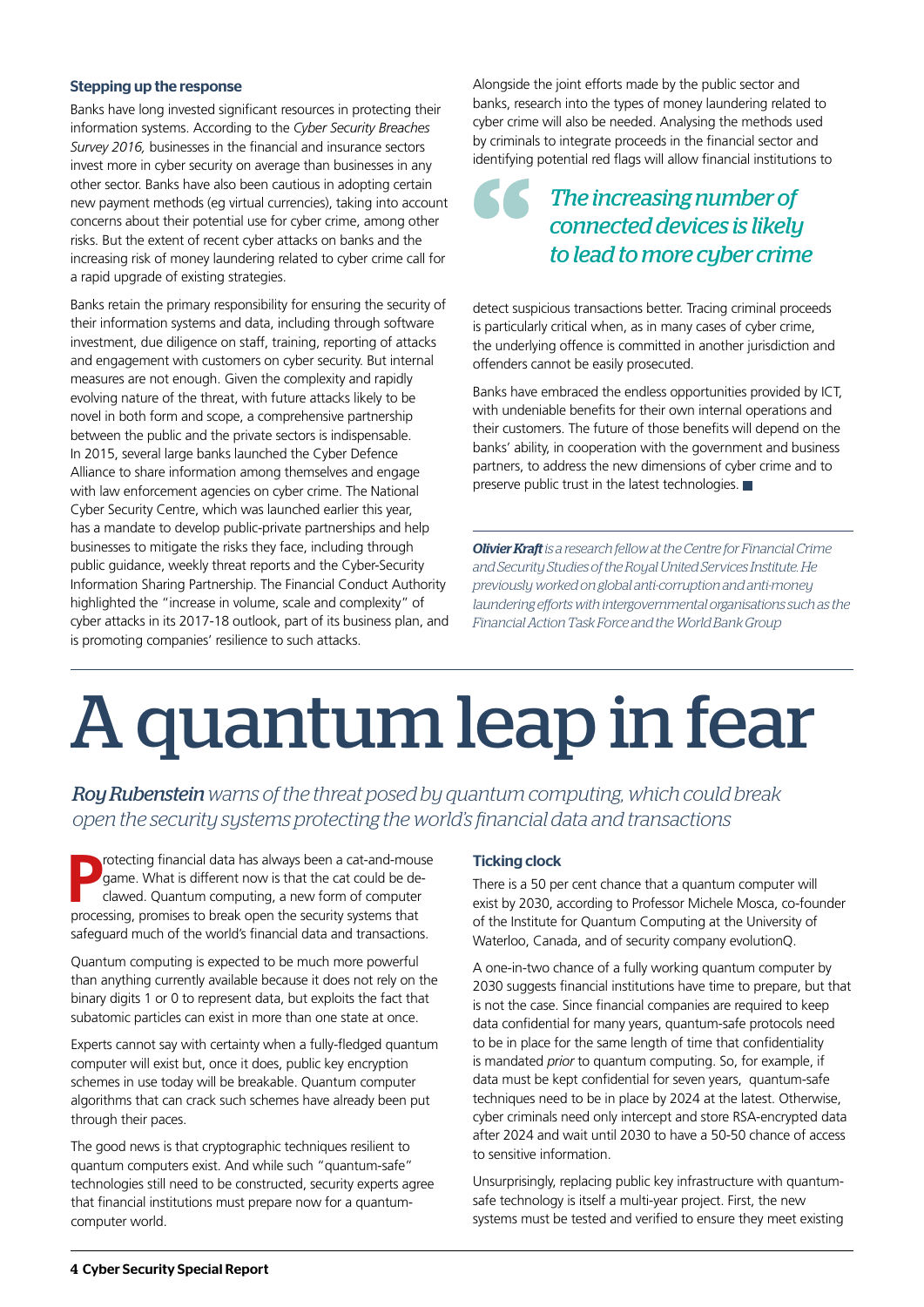#### Stepping up the response

Banks have long invested significant resources in protecting their information systems. According to the *Cyber Security Breaches Survey 2016,* businesses in the financial and insurance sectors invest more in cyber security on average than businesses in any other sector. Banks have also been cautious in adopting certain new payment methods (eg virtual currencies), taking into account concerns about their potential use for cyber crime, among other risks. But the extent of recent cyber attacks on banks and the increasing risk of money laundering related to cyber crime call for a rapid upgrade of existing strategies.

Banks retain the primary responsibility for ensuring the security of their information systems and data, including through software investment, due diligence on staff, training, reporting of attacks and engagement with customers on cyber security. But internal measures are not enough. Given the complexity and rapidly evolving nature of the threat, with future attacks likely to be novel in both form and scope, a comprehensive partnership between the public and the private sectors is indispensable. In 2015, several large banks launched the Cyber Defence Alliance to share information among themselves and engage with law enforcement agencies on cyber crime. The National Cyber Security Centre, which was launched earlier this year, has a mandate to develop public-private partnerships and help businesses to mitigate the risks they face, including through public guidance, weekly threat reports and the Cyber-Security Information Sharing Partnership. The Financial Conduct Authority highlighted the "increase in volume, scale and complexity" of cyber attacks in its 2017-18 outlook, part of its business plan, and is promoting companies' resilience to such attacks.

Alongside the joint efforts made by the public sector and banks, research into the types of money laundering related to cyber crime will also be needed. Analysing the methods used by criminals to integrate proceeds in the financial sector and identifying potential red flags will allow financial institutions to

## *The increasing number of connected devices is likely to lead to more cyber crime* detect sus

detect suspicious transactions better. Tracing criminal proceeds is particularly critical when, as in many cases of cyber crime, the underlying offence is committed in another jurisdiction and offenders cannot be easily prosecuted.

Banks have embraced the endless opportunities provided by ICT, with undeniable benefits for their own internal operations and their customers. The future of those benefits will depend on the banks' ability, in cooperation with the government and business partners, to address the new dimensions of cyber crime and to preserve public trust in the latest technologies.

*Olivier Kraft is a research fellow at the Centre for Financial Crime and Security Studies of the Royal United Services Institute. He previously worked on global anti-corruption and anti-money laundering efforts with intergovernmental organisations such as the Financial Action Task Force and the World Bank Group*

# A quantum leap in fear

*Roy Rubenstein warns of the threat posed by quantum computing, which could break open the security systems protecting the world's financial data and transactions*

**P** rotecting financial data has always been a cat-and-mouse<br>game. What is different now is that the cat could be de-<br>clawed. Quantum computing, a new form of computer game. What is different now is that the cat could be declawed. Quantum computing, a new form of computer processing, promises to break open the security systems that safeguard much of the world's financial data and transactions.

Quantum computing is expected to be much more powerful than anything currently available because it does not rely on the binary digits 1 or 0 to represent data, but exploits the fact that subatomic particles can exist in more than one state at once.

Experts cannot say with certainty when a fully-fledged quantum computer will exist but, once it does, public key encryption schemes in use today will be breakable. Quantum computer algorithms that can crack such schemes have already been put through their paces.

The good news is that cryptographic techniques resilient to quantum computers exist. And while such "quantum-safe" technologies still need to be constructed, security experts agree that financial institutions must prepare now for a quantumcomputer world.

#### Ticking clock

There is a 50 per cent chance that a quantum computer will exist by 2030, according to Professor Michele Mosca, co-founder of the Institute for Quantum Computing at the University of Waterloo, Canada, and of security company evolutionQ.

A one-in-two chance of a fully working quantum computer by 2030 suggests financial institutions have time to prepare, but that is not the case. Since financial companies are required to keep data confidential for many years, quantum-safe protocols need to be in place for the same length of time that confidentiality is mandated *prior* to quantum computing. So, for example, if data must be kept confidential for seven years, quantum-safe techniques need to be in place by 2024 at the latest. Otherwise, cyber criminals need only intercept and store RSA-encrypted data after 2024 and wait until 2030 to have a 50-50 chance of access to sensitive information.

Unsurprisingly, replacing public key infrastructure with quantumsafe technology is itself a multi-year project. First, the new systems must be tested and verified to ensure they meet existing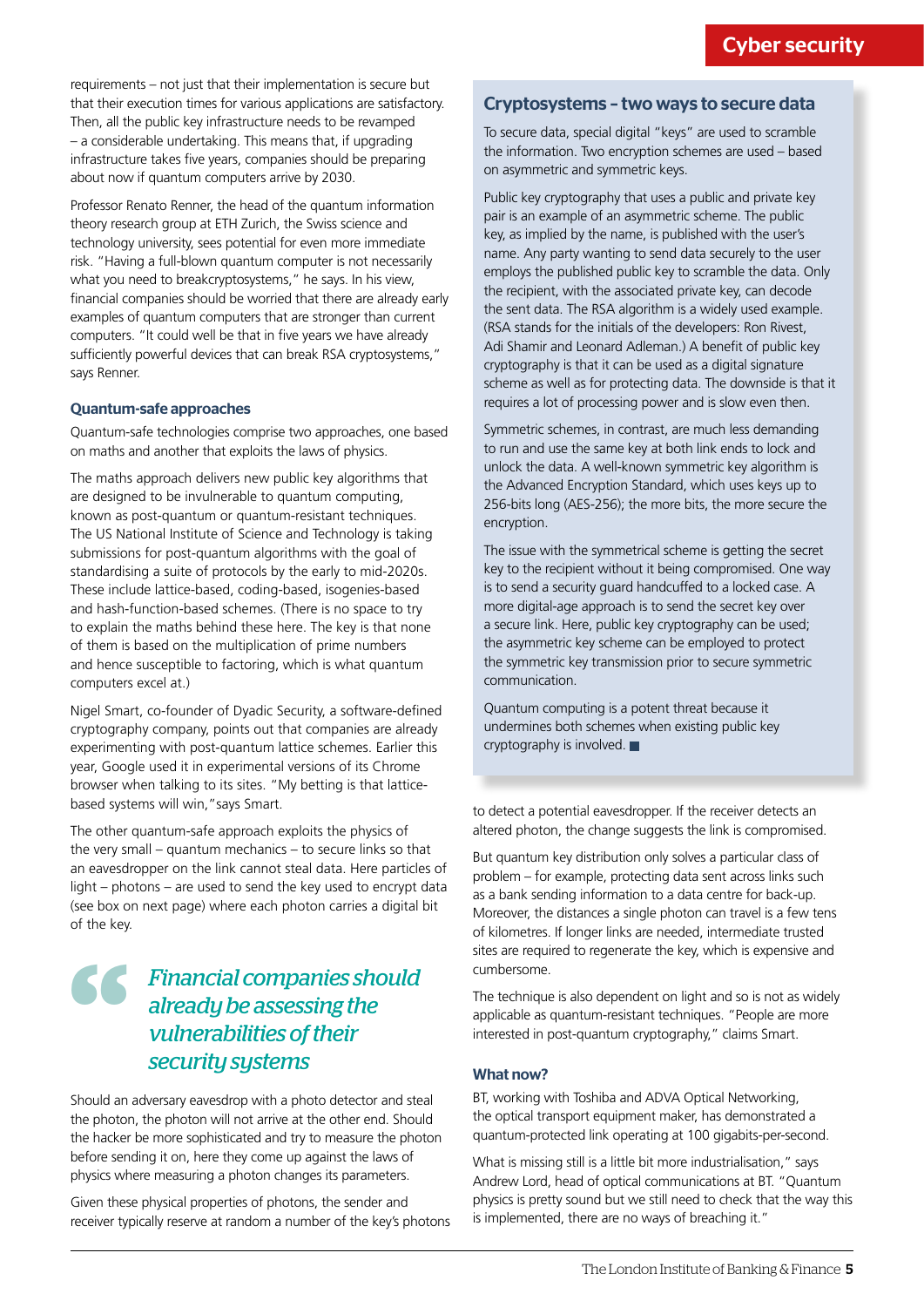requirements – not just that their implementation is secure but that their execution times for various applications are satisfactory. Then, all the public key infrastructure needs to be revamped – a considerable undertaking. This means that, if upgrading infrastructure takes five years, companies should be preparing about now if quantum computers arrive by 2030.

Professor Renato Renner, the head of the quantum information theory research group at ETH Zurich, the Swiss science and technology university, sees potential for even more immediate risk. "Having a full-blown quantum computer is not necessarily what you need to breakcryptosystems," he says. In his view, financial companies should be worried that there are already early examples of quantum computers that are stronger than current computers. "It could well be that in five years we have already sufficiently powerful devices that can break RSA cryptosystems," says Renner.

#### Quantum-safe approaches

Quantum-safe technologies comprise two approaches, one based on maths and another that exploits the laws of physics.

The maths approach delivers new public key algorithms that are designed to be invulnerable to quantum computing, known as post-quantum or quantum-resistant techniques. The US National Institute of Science and Technology is taking submissions for post-quantum algorithms with the goal of standardising a suite of protocols by the early to mid-2020s. These include lattice-based, coding-based, isogenies-based and hash-function-based schemes. (There is no space to try to explain the maths behind these here. The key is that none of them is based on the multiplication of prime numbers and hence susceptible to factoring, which is what quantum computers excel at.)

Nigel Smart, co-founder of Dyadic Security, a software-defined cryptography company, points out that companies are already experimenting with post-quantum lattice schemes. Earlier this year, Google used it in experimental versions of its Chrome browser when talking to its sites. "My betting is that latticebased systems will win,"says Smart.

The other quantum-safe approach exploits the physics of the very small – quantum mechanics – to secure links so that an eavesdropper on the link cannot steal data. Here particles of light – photons – are used to send the key used to encrypt data (see box on next page) where each photon carries a digital bit of the key.

### *Financial companies should already be assessing the vulnerabilities of their*  S *security systems*

Should an adversary eavesdrop with a photo detector and steal the photon, the photon will not arrive at the other end. Should the hacker be more sophisticated and try to measure the photon before sending it on, here they come up against the laws of physics where measuring a photon changes its parameters.

Given these physical properties of photons, the sender and receiver typically reserve at random a number of the key's photons

#### Cryptosystems – two ways to secure data

To secure data, special digital "keys" are used to scramble the information. Two encryption schemes are used – based on asymmetric and symmetric keys.

Public key cryptography that uses a public and private key pair is an example of an asymmetric scheme. The public key, as implied by the name, is published with the user's name. Any party wanting to send data securely to the user employs the published public key to scramble the data. Only the recipient, with the associated private key, can decode the sent data. The RSA algorithm is a widely used example. (RSA stands for the initials of the developers: Ron Rivest, Adi Shamir and Leonard Adleman.) A benefit of public key cryptography is that it can be used as a digital signature scheme as well as for protecting data. The downside is that it requires a lot of processing power and is slow even then.

Symmetric schemes, in contrast, are much less demanding to run and use the same key at both link ends to lock and unlock the data. A well-known symmetric key algorithm is the Advanced Encryption Standard, which uses keys up to 256-bits long (AES-256); the more bits, the more secure the encryption.

The issue with the symmetrical scheme is getting the secret key to the recipient without it being compromised. One way is to send a security guard handcuffed to a locked case. A more digital-age approach is to send the secret key over a secure link. Here, public key cryptography can be used; the asymmetric key scheme can be employed to protect the symmetric key transmission prior to secure symmetric communication.

Quantum computing is a potent threat because it undermines both schemes when existing public key cryptography is involved.

to detect a potential eavesdropper. If the receiver detects an altered photon, the change suggests the link is compromised.

But quantum key distribution only solves a particular class of problem – for example, protecting data sent across links such as a bank sending information to a data centre for back-up. Moreover, the distances a single photon can travel is a few tens of kilometres. If longer links are needed, intermediate trusted sites are required to regenerate the key, which is expensive and cumbersome.

The technique is also dependent on light and so is not as widely applicable as quantum-resistant techniques. "People are more interested in post-quantum cryptography," claims Smart.

#### What now?

BT, working with Toshiba and ADVA Optical Networking, the optical transport equipment maker, has demonstrated a quantum-protected link operating at 100 gigabits-per-second.

What is missing still is a little bit more industrialisation," says Andrew Lord, head of optical communications at BT. "Quantum physics is pretty sound but we still need to check that the way this is implemented, there are no ways of breaching it."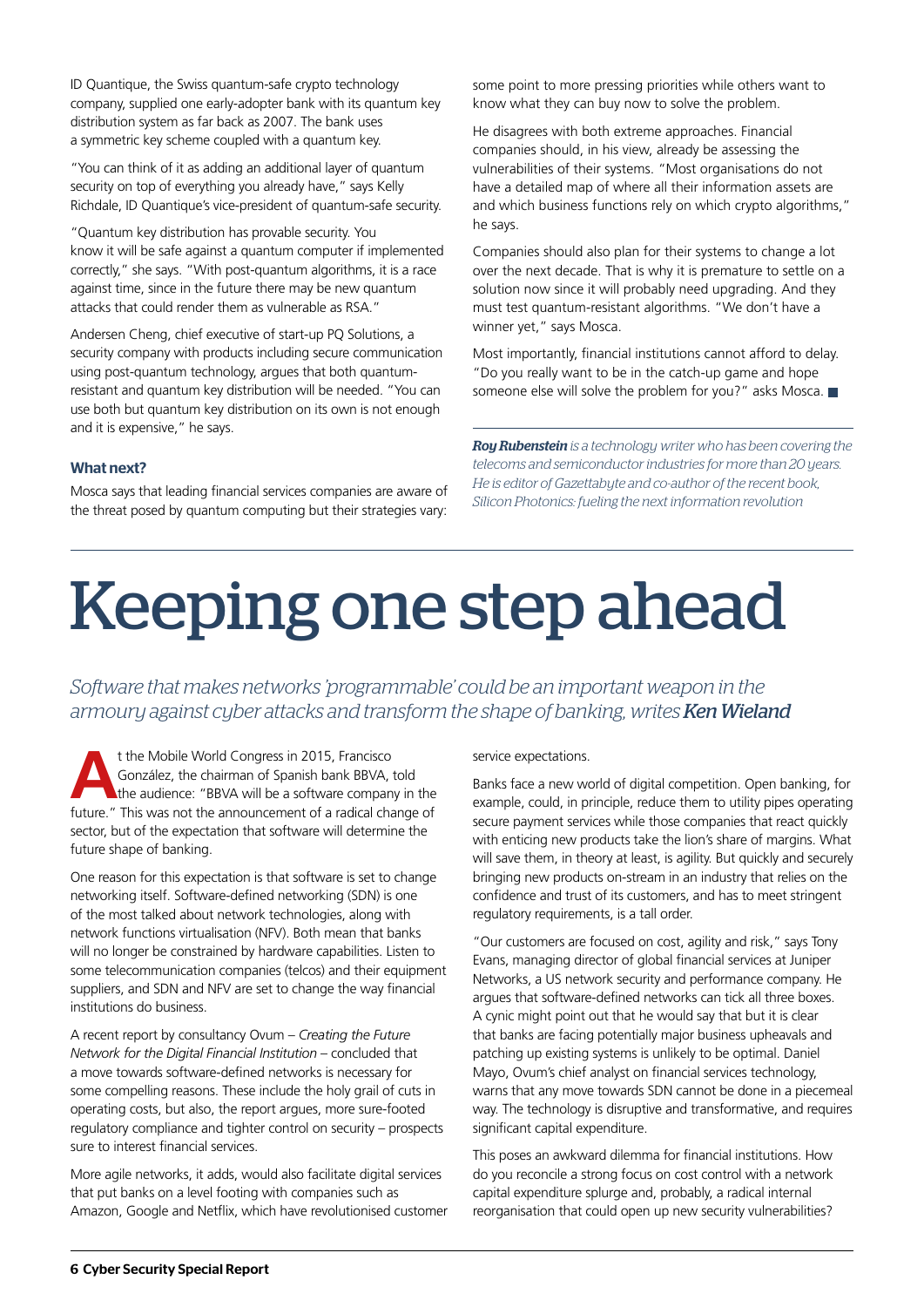ID Quantique, the Swiss quantum-safe crypto technology company, supplied one early-adopter bank with its quantum key distribution system as far back as 2007. The bank uses a symmetric key scheme coupled with a quantum key.

"You can think of it as adding an additional layer of quantum security on top of everything you already have," says Kelly Richdale, ID Quantique's vice-president of quantum-safe security.

"Quantum key distribution has provable security. You know it will be safe against a quantum computer if implemented correctly," she says. "With post-quantum algorithms, it is a race against time, since in the future there may be new quantum attacks that could render them as vulnerable as RSA."

Andersen Cheng, chief executive of start-up PQ Solutions, a security company with products including secure communication using post-quantum technology, argues that both quantumresistant and quantum key distribution will be needed. "You can use both but quantum key distribution on its own is not enough and it is expensive," he says.

#### What next?

Mosca says that leading financial services companies are aware of the threat posed by quantum computing but their strategies vary:

some point to more pressing priorities while others want to know what they can buy now to solve the problem.

He disagrees with both extreme approaches. Financial companies should, in his view, already be assessing the vulnerabilities of their systems. "Most organisations do not have a detailed map of where all their information assets are and which business functions rely on which crypto algorithms," he says.

Companies should also plan for their systems to change a lot over the next decade. That is why it is premature to settle on a solution now since it will probably need upgrading. And they must test quantum-resistant algorithms. "We don't have a winner yet," says Mosca.

Most importantly, financial institutions cannot afford to delay. "Do you really want to be in the catch-up game and hope someone else will solve the problem for you?" asks Mosca.

*Roy Rubenstein is a technology writer who has been covering the telecoms and semiconductor industries for more than 20 years. He is editor of Gazettabyte and co-author of the recent book, Silicon Photonics: fueling the next information revolution*

# Keeping one step ahead

*Software that makes networks 'programmable' could be an important weapon in the armoury against cyber attacks and transform the shape of banking, writes Ken Wieland* 

**A**t the Mobile World Congress in 2015, Francisco González, the chairman of Spanish bank BBVA, told the audience: "BBVA will be a software company in the future." This was not the announcement of a radical change of sector, but of the expectation that software will determine the future shape of banking.

One reason for this expectation is that software is set to change networking itself. Software-defined networking (SDN) is one of the most talked about network technologies, along with network functions virtualisation (NFV). Both mean that banks will no longer be constrained by hardware capabilities. Listen to some telecommunication companies (telcos) and their equipment suppliers, and SDN and NFV are set to change the way financial institutions do business.

A recent report by consultancy Ovum – *Creating the Future Network for the Digital Financial Institution* – concluded that a move towards software-defined networks is necessary for some compelling reasons. These include the holy grail of cuts in operating costs, but also, the report argues, more sure-footed regulatory compliance and tighter control on security – prospects sure to interest financial services.

More agile networks, it adds, would also facilitate digital services that put banks on a level footing with companies such as Amazon, Google and Netflix, which have revolutionised customer service expectations.

Banks face a new world of digital competition. Open banking, for example, could, in principle, reduce them to utility pipes operating secure payment services while those companies that react quickly with enticing new products take the lion's share of margins. What will save them, in theory at least, is agility. But quickly and securely bringing new products on-stream in an industry that relies on the confidence and trust of its customers, and has to meet stringent regulatory requirements, is a tall order.

"Our customers are focused on cost, agility and risk," says Tony Evans, managing director of global financial services at Juniper Networks, a US network security and performance company. He argues that software-defined networks can tick all three boxes. A cynic might point out that he would say that but it is clear that banks are facing potentially major business upheavals and patching up existing systems is unlikely to be optimal. Daniel Mayo, Ovum's chief analyst on financial services technology, warns that any move towards SDN cannot be done in a piecemeal way. The technology is disruptive and transformative, and requires significant capital expenditure.

This poses an awkward dilemma for financial institutions. How do you reconcile a strong focus on cost control with a network capital expenditure splurge and, probably, a radical internal reorganisation that could open up new security vulnerabilities?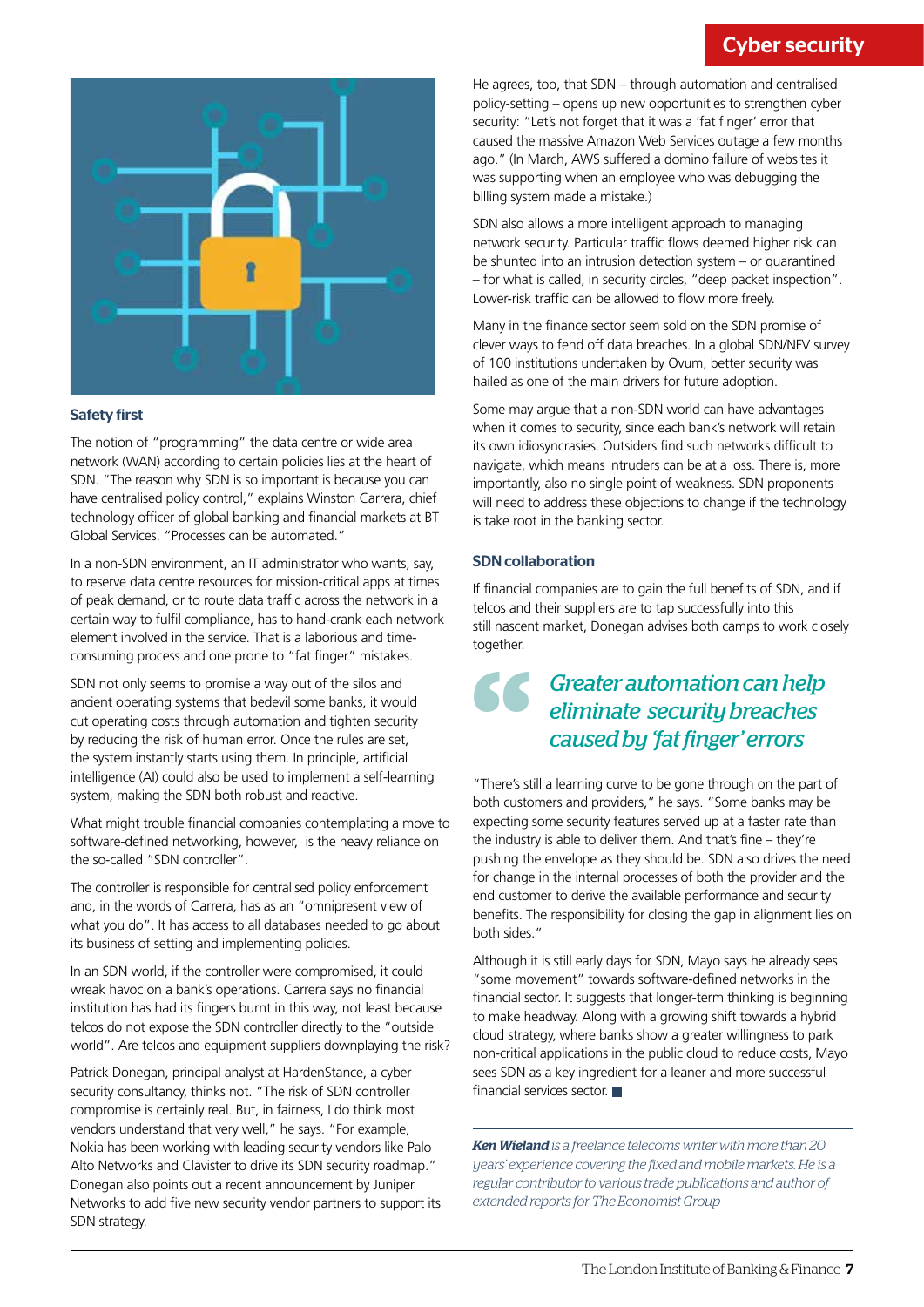#### Cyber security



#### Safety first

The notion of "programming" the data centre or wide area network (WAN) according to certain policies lies at the heart of SDN. "The reason why SDN is so important is because you can have centralised policy control," explains Winston Carrera, chief technology officer of global banking and financial markets at BT Global Services. "Processes can be automated."

In a non-SDN environment, an IT administrator who wants, say, to reserve data centre resources for mission-critical apps at times of peak demand, or to route data traffic across the network in a certain way to fulfil compliance, has to hand-crank each network element involved in the service. That is a laborious and timeconsuming process and one prone to "fat finger" mistakes.

SDN not only seems to promise a way out of the silos and ancient operating systems that bedevil some banks, it would cut operating costs through automation and tighten security by reducing the risk of human error. Once the rules are set, the system instantly starts using them. In principle, artificial intelligence (AI) could also be used to implement a self-learning system, making the SDN both robust and reactive.

What might trouble financial companies contemplating a move to software-defined networking, however, is the heavy reliance on the so-called "SDN controller".

The controller is responsible for centralised policy enforcement and, in the words of Carrera, has as an "omnipresent view of what you do". It has access to all databases needed to go about its business of setting and implementing policies.

In an SDN world, if the controller were compromised, it could wreak havoc on a bank's operations. Carrera says no financial institution has had its fingers burnt in this way, not least because telcos do not expose the SDN controller directly to the "outside world". Are telcos and equipment suppliers downplaying the risk?

Patrick Donegan, principal analyst at HardenStance, a cyber security consultancy, thinks not. "The risk of SDN controller compromise is certainly real. But, in fairness, I do think most vendors understand that very well," he says. "For example, Nokia has been working with leading security vendors like Palo Alto Networks and Clavister to drive its SDN security roadmap." Donegan also points out a recent announcement by Juniper Networks to add five new security vendor partners to support its SDN strategy.

He agrees, too, that SDN – through automation and centralised policy-setting – opens up new opportunities to strengthen cyber security: "Let's not forget that it was a 'fat finger' error that caused the massive Amazon Web Services outage a few months ago." (In March, AWS suffered a domino failure of websites it was supporting when an employee who was debugging the billing system made a mistake.)

SDN also allows a more intelligent approach to managing network security. Particular traffic flows deemed higher risk can be shunted into an intrusion detection system – or quarantined – for what is called, in security circles, "deep packet inspection". Lower-risk traffic can be allowed to flow more freely.

Many in the finance sector seem sold on the SDN promise of clever ways to fend off data breaches. In a global SDN/NFV survey of 100 institutions undertaken by Ovum, better security was hailed as one of the main drivers for future adoption.

Some may argue that a non-SDN world can have advantages when it comes to security, since each bank's network will retain its own idiosyncrasies. Outsiders find such networks difficult to navigate, which means intruders can be at a loss. There is, more importantly, also no single point of weakness. SDN proponents will need to address these objections to change if the technology is take root in the banking sector.

#### SDN collaboration

If financial companies are to gain the full benefits of SDN, and if telcos and their suppliers are to tap successfully into this still nascent market, Donegan advises both camps to work closely together.

## both customers and providers," he says. "Some banks may be "*Greater automation can help eliminate security breaches caused by 'fat finger' errors*

"There's still a learning curve to be gone through on the part of expecting some security features served up at a faster rate than the industry is able to deliver them. And that's fine – they're pushing the envelope as they should be. SDN also drives the need for change in the internal processes of both the provider and the end customer to derive the available performance and security benefits. The responsibility for closing the gap in alignment lies on both sides."

Although it is still early days for SDN, Mayo says he already sees "some movement" towards software-defined networks in the financial sector. It suggests that longer-term thinking is beginning to make headway. Along with a growing shift towards a hybrid cloud strategy, where banks show a greater willingness to park non-critical applications in the public cloud to reduce costs, Mayo sees SDN as a key ingredient for a leaner and more successful financial services sector.

*Ken Wieland is a freelance telecoms writer with more than 20 years' experience covering the fixed and mobile markets. He is a regular contributor to various trade publications and author of extended reports for The Economist Group*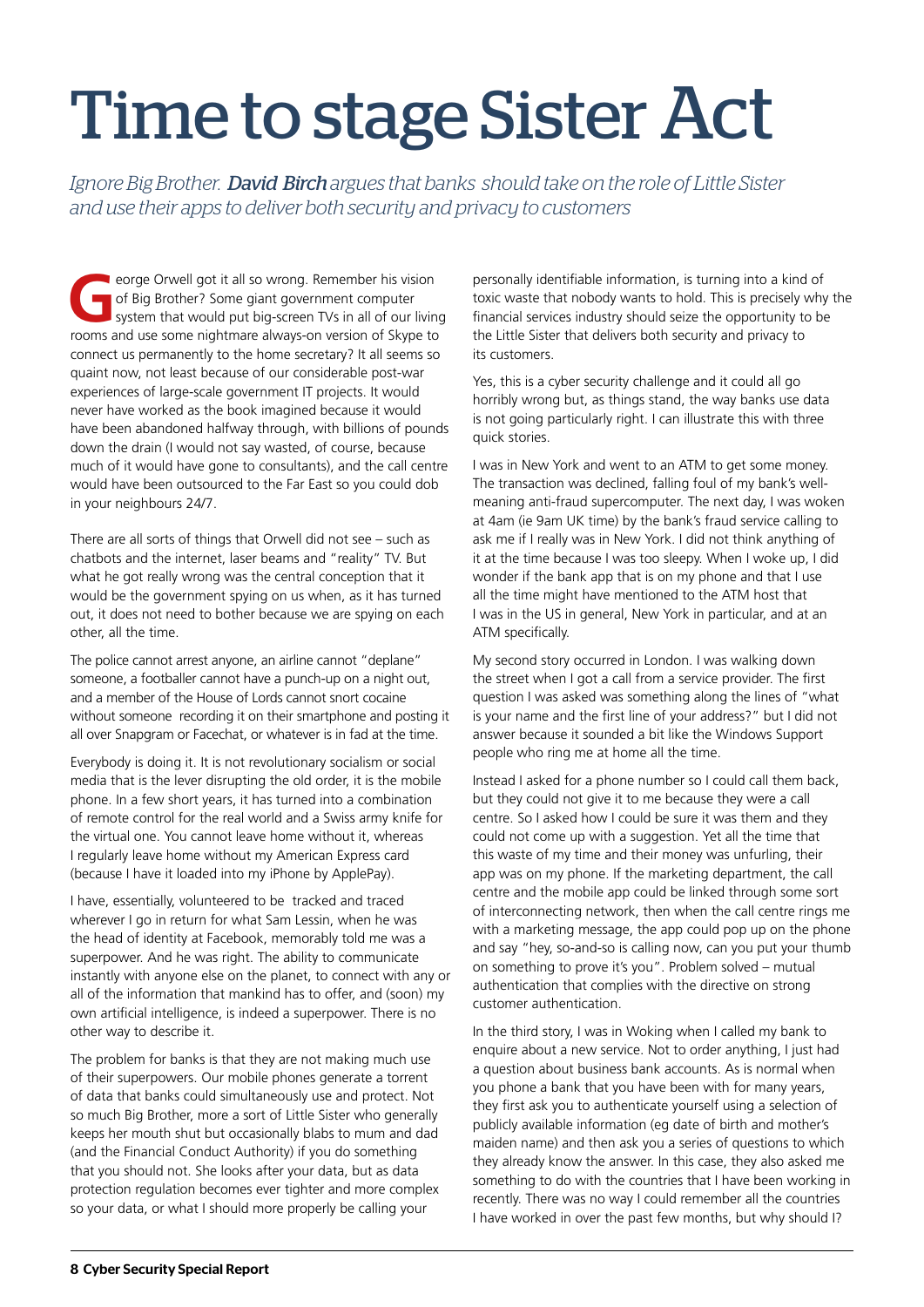# Time to stage Sister Act

*Ignore Big Brother. David Birch argues that banks should take on the role of Little Sister and use their apps to deliver both security and privacy to customers*

eorge Orwell got it all so wrong. Remember his vision<br>of Big Brother? Some giant government computer<br>system that would put big-screen TVs in all of our livin<br>rooms and use some pightmare always-on version of Skyno to of Big Brother? Some giant government computer system that would put big-screen TVs in all of our living rooms and use some nightmare always-on version of Skype to connect us permanently to the home secretary? It all seems so quaint now, not least because of our considerable post-war experiences of large-scale government IT projects. It would never have worked as the book imagined because it would have been abandoned halfway through, with billions of pounds down the drain (I would not say wasted, of course, because much of it would have gone to consultants), and the call centre would have been outsourced to the Far East so you could dob in your neighbours 24/7.

There are all sorts of things that Orwell did not see – such as chatbots and the internet, laser beams and "reality" TV. But what he got really wrong was the central conception that it would be the government spying on us when, as it has turned out, it does not need to bother because we are spying on each other, all the time.

The police cannot arrest anyone, an airline cannot "deplane" someone, a footballer cannot have a punch-up on a night out, and a member of the House of Lords cannot snort cocaine without someone recording it on their smartphone and posting it all over Snapgram or Facechat, or whatever is in fad at the time.

Everybody is doing it. It is not revolutionary socialism or social media that is the lever disrupting the old order, it is the mobile phone. In a few short years, it has turned into a combination of remote control for the real world and a Swiss army knife for the virtual one. You cannot leave home without it, whereas I regularly leave home without my American Express card (because I have it loaded into my iPhone by ApplePay).

I have, essentially, volunteered to be tracked and traced wherever I go in return for what Sam Lessin, when he was the head of identity at Facebook, memorably told me was a superpower. And he was right. The ability to communicate instantly with anyone else on the planet, to connect with any or all of the information that mankind has to offer, and (soon) my own artificial intelligence, is indeed a superpower. There is no other way to describe it.

The problem for banks is that they are not making much use of their superpowers. Our mobile phones generate a torrent of data that banks could simultaneously use and protect. Not so much Big Brother, more a sort of Little Sister who generally keeps her mouth shut but occasionally blabs to mum and dad (and the Financial Conduct Authority) if you do something that you should not. She looks after your data, but as data protection regulation becomes ever tighter and more complex so your data, or what I should more properly be calling your

personally identifiable information, is turning into a kind of toxic waste that nobody wants to hold. This is precisely why the financial services industry should seize the opportunity to be the Little Sister that delivers both security and privacy to its customers.

Yes, this is a cyber security challenge and it could all go horribly wrong but, as things stand, the way banks use data is not going particularly right. I can illustrate this with three quick stories.

I was in New York and went to an ATM to get some money. The transaction was declined, falling foul of my bank's wellmeaning anti-fraud supercomputer. The next day, I was woken at 4am (ie 9am UK time) by the bank's fraud service calling to ask me if I really was in New York. I did not think anything of it at the time because I was too sleepy. When I woke up, I did wonder if the bank app that is on my phone and that I use all the time might have mentioned to the ATM host that I was in the US in general, New York in particular, and at an ATM specifically.

My second story occurred in London. I was walking down the street when I got a call from a service provider. The first question I was asked was something along the lines of "what is your name and the first line of your address?" but I did not answer because it sounded a bit like the Windows Support people who ring me at home all the time.

Instead I asked for a phone number so I could call them back, but they could not give it to me because they were a call centre. So I asked how I could be sure it was them and they could not come up with a suggestion. Yet all the time that this waste of my time and their money was unfurling, their app was on my phone. If the marketing department, the call centre and the mobile app could be linked through some sort of interconnecting network, then when the call centre rings me with a marketing message, the app could pop up on the phone and say "hey, so-and-so is calling now, can you put your thumb on something to prove it's you". Problem solved – mutual authentication that complies with the directive on strong customer authentication.

In the third story, I was in Woking when I called my bank to enquire about a new service. Not to order anything, I just had a question about business bank accounts. As is normal when you phone a bank that you have been with for many years, they first ask you to authenticate yourself using a selection of publicly available information (eg date of birth and mother's maiden name) and then ask you a series of questions to which they already know the answer. In this case, they also asked me something to do with the countries that I have been working in recently. There was no way I could remember all the countries I have worked in over the past few months, but why should I?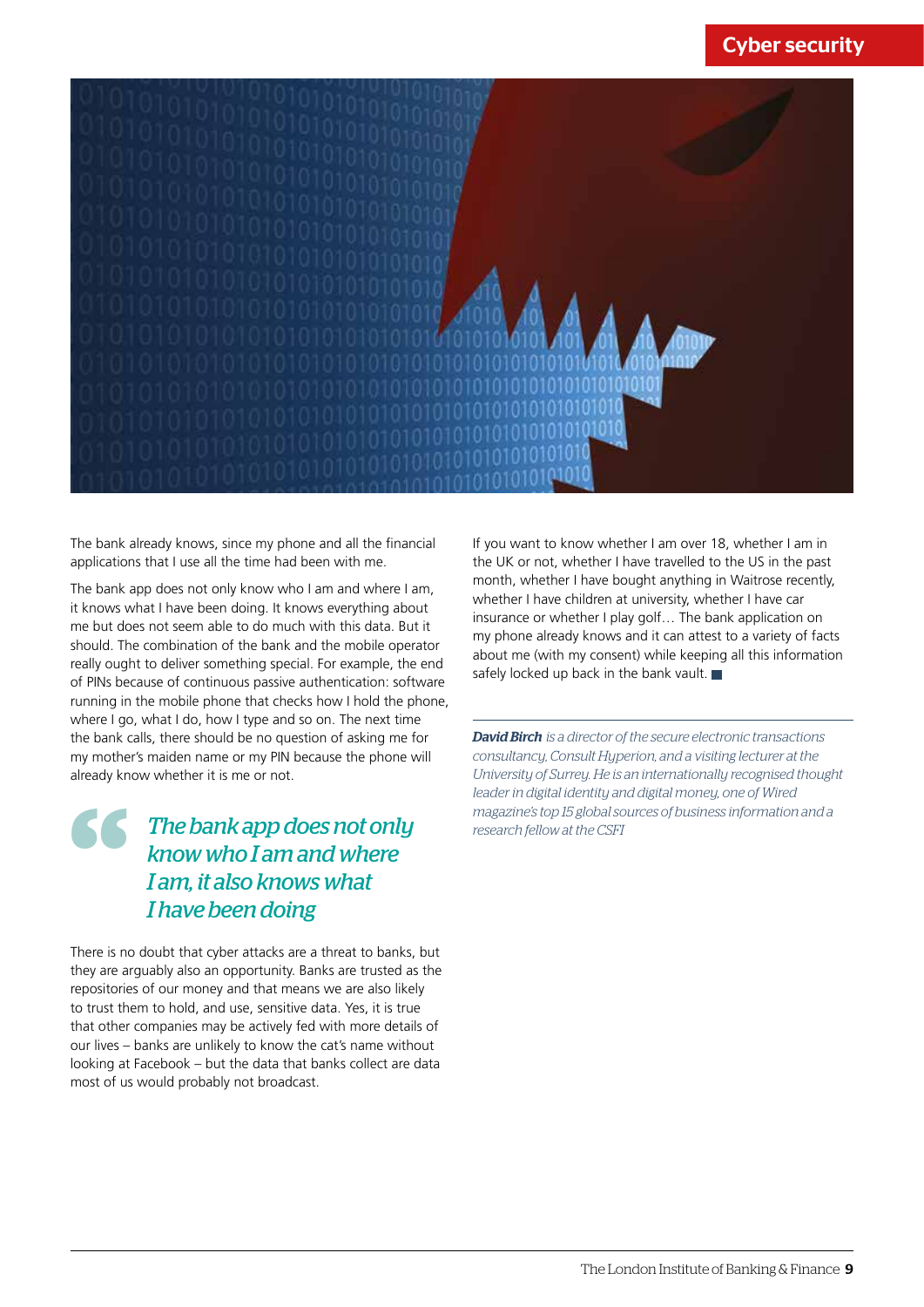#### Cyber security



The bank already knows, since my phone and all the financial applications that I use all the time had been with me.

The bank app does not only know who I am and where I am, it knows what I have been doing. It knows everything about me but does not seem able to do much with this data. But it should. The combination of the bank and the mobile operator really ought to deliver something special. For example, the end of PINs because of continuous passive authentication: software running in the mobile phone that checks how I hold the phone, where I go, what I do, how I type and so on. The next time the bank calls, there should be no question of asking me for my mother's maiden name or my PIN because the phone will already know whether it is me or not.

### *reader in digital identity areader in digital identity areader in digital identity areader in digital identity areader in digital identity areader in digital identity areader in digital scenarch fellow at the CSFI<br> know The bank app does not only know who I am and where I am, it also knows what I have been doing*

There is no doubt that cyber attacks are a threat to banks, but they are arguably also an opportunity. Banks are trusted as the repositories of our money and that means we are also likely to trust them to hold, and use, sensitive data. Yes, it is true that other companies may be actively fed with more details of our lives – banks are unlikely to know the cat's name without looking at Facebook – but the data that banks collect are data most of us would probably not broadcast.

If you want to know whether I am over 18, whether I am in the UK or not, whether I have travelled to the US in the past month, whether I have bought anything in Waitrose recently, whether I have children at university, whether I have car insurance or whether I play golf… The bank application on my phone already knows and it can attest to a variety of facts about me (with my consent) while keeping all this information safely locked up back in the bank vault.  $\blacksquare$ 

*David Birch is a director of the secure electronic transactions consultancy, Consult Hyperion, and a visiting lecturer at the University of Surrey. He is an internationally recognised thought leader in digital identity and digital money, one of Wired magazine's top 15 global sources of business information and a*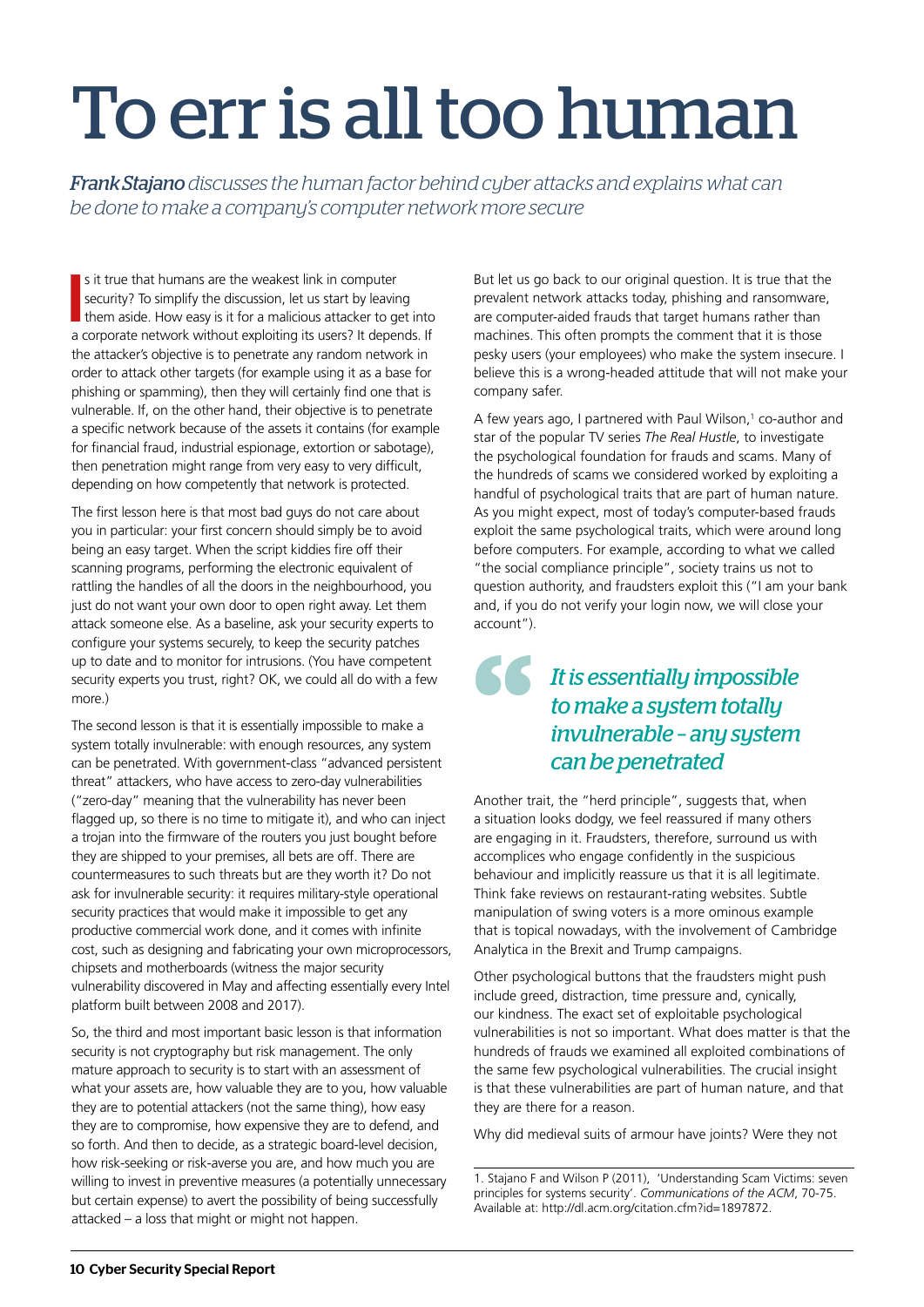# To err is all too human

*Frank Stajano discusses the human factor behind cyber attacks and explains what can be done to make a company's computer network more secure*

**I** is it true that humans are the weakest link in computer security? To simplify the discussion, let us start by leaving them aside. How easy is it for a malicious attacker to get into a corporate network without exploiti s it true that humans are the weakest link in computer security? To simplify the discussion, let us start by leaving them aside. How easy is it for a malicious attacker to get into the attacker's objective is to penetrate any random network in order to attack other targets (for example using it as a base for phishing or spamming), then they will certainly find one that is vulnerable. If, on the other hand, their objective is to penetrate a specific network because of the assets it contains (for example for financial fraud, industrial espionage, extortion or sabotage), then penetration might range from very easy to very difficult, depending on how competently that network is protected.

The first lesson here is that most bad guys do not care about you in particular: your first concern should simply be to avoid being an easy target. When the script kiddies fire off their scanning programs, performing the electronic equivalent of rattling the handles of all the doors in the neighbourhood, you just do not want your own door to open right away. Let them attack someone else. As a baseline, ask your security experts to configure your systems securely, to keep the security patches up to date and to monitor for intrusions. (You have competent security experts you trust, right? OK, we could all do with a few more)

The second lesson is that it is essentially impossible to make a system totally invulnerable: with enough resources, any system can be penetrated. With government-class "advanced persistent threat" attackers, who have access to zero-day vulnerabilities ("zero-day" meaning that the vulnerability has never been flagged up, so there is no time to mitigate it), and who can inject a trojan into the firmware of the routers you just bought before they are shipped to your premises, all bets are off. There are countermeasures to such threats but are they worth it? Do not ask for invulnerable security: it requires military-style operational security practices that would make it impossible to get any productive commercial work done, and it comes with infinite cost, such as designing and fabricating your own microprocessors, chipsets and motherboards (witness the major security vulnerability discovered in May and affecting essentially every Intel platform built between 2008 and 2017).

So, the third and most important basic lesson is that information security is not cryptography but risk management. The only mature approach to security is to start with an assessment of what your assets are, how valuable they are to you, how valuable they are to potential attackers (not the same thing), how easy they are to compromise, how expensive they are to defend, and so forth. And then to decide, as a strategic board-level decision, how risk-seeking or risk-averse you are, and how much you are willing to invest in preventive measures (a potentially unnecessary but certain expense) to avert the possibility of being successfully attacked – a loss that might or might not happen.

But let us go back to our original question. It is true that the prevalent network attacks today, phishing and ransomware, are computer-aided frauds that target humans rather than machines. This often prompts the comment that it is those pesky users (your employees) who make the system insecure. I believe this is a wrong-headed attitude that will not make your company safer.

A few years ago, I partnered with Paul Wilson,<sup>1</sup> co-author and star of the popular TV series *The Real Hustle*, to investigate the psychological foundation for frauds and scams. Many of the hundreds of scams we considered worked by exploiting a handful of psychological traits that are part of human nature. As you might expect, most of today's computer-based frauds exploit the same psychological traits, which were around long before computers. For example, according to what we called "the social compliance principle", society trains us not to question authority, and fraudsters exploit this ("I am your bank and, if you do not verify your login now, we will close your account").

### *It is essentially impossible to make a system totally invulnerable – any system*  **66** *can be penetrated*

Another trait, the "herd principle", suggests that, when a situation looks dodgy, we feel reassured if many others are engaging in it. Fraudsters, therefore, surround us with accomplices who engage confidently in the suspicious behaviour and implicitly reassure us that it is all legitimate. Think fake reviews on restaurant-rating websites. Subtle manipulation of swing voters is a more ominous example that is topical nowadays, with the involvement of Cambridge Analytica in the Brexit and Trump campaigns.

Other psychological buttons that the fraudsters might push include greed, distraction, time pressure and, cynically, our kindness. The exact set of exploitable psychological vulnerabilities is not so important. What does matter is that the hundreds of frauds we examined all exploited combinations of the same few psychological vulnerabilities. The crucial insight is that these vulnerabilities are part of human nature, and that they are there for a reason.

Why did medieval suits of armour have joints? Were they not

<sup>1.</sup> Stajano F and Wilson P (2011), 'Understanding Scam Victims: seven principles for systems security'. *Communications of the ACM*, 70-75. Available at: http://dl.acm.org/citation.cfm?id=1897872.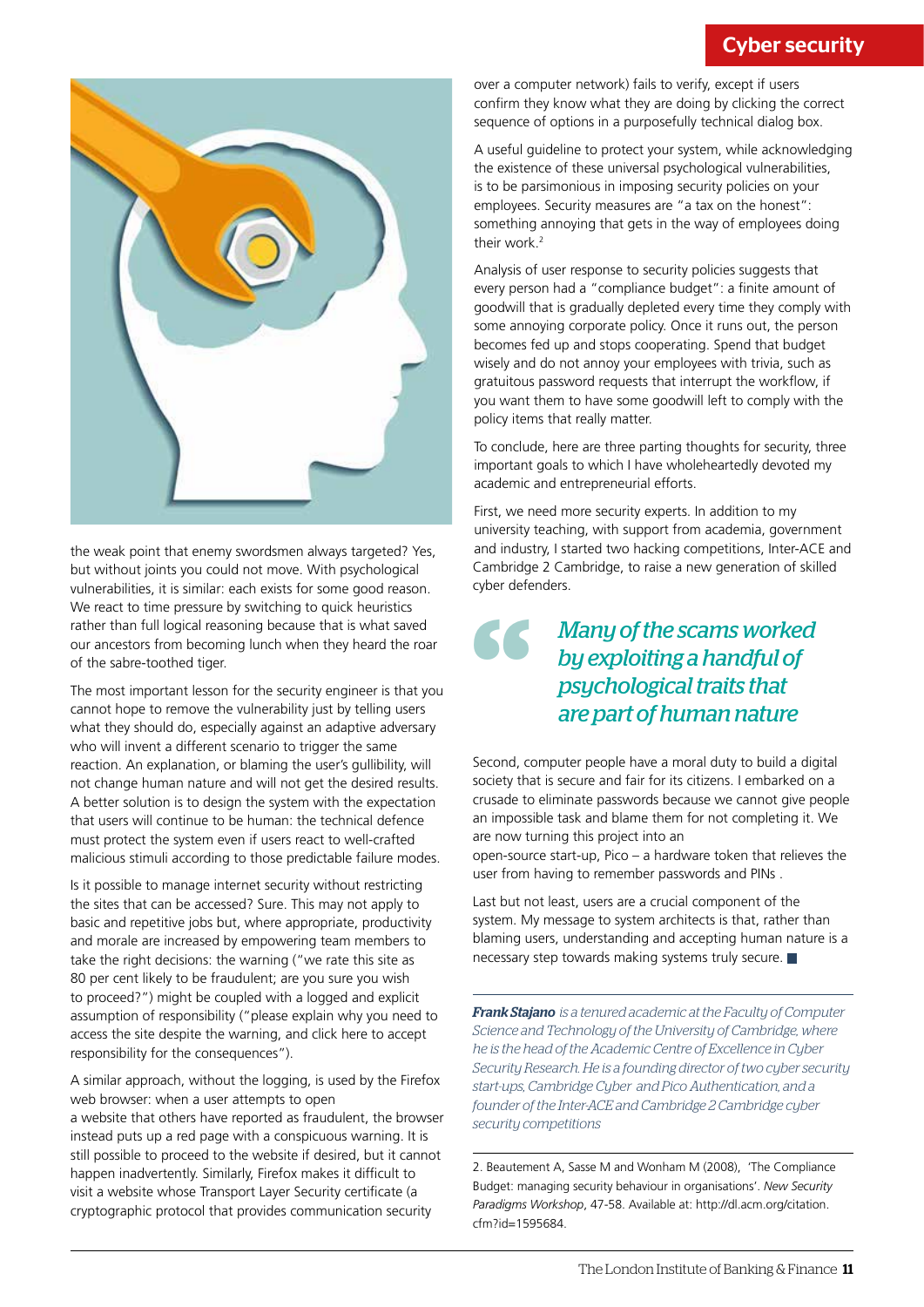

the weak point that enemy swordsmen always targeted? Yes, but without joints you could not move. With psychological vulnerabilities, it is similar: each exists for some good reason. We react to time pressure by switching to quick heuristics rather than full logical reasoning because that is what saved our ancestors from becoming lunch when they heard the roar of the sabre-toothed tiger.

The most important lesson for the security engineer is that you cannot hope to remove the vulnerability just by telling users what they should do, especially against an adaptive adversary who will invent a different scenario to trigger the same reaction. An explanation, or blaming the user's gullibility, will not change human nature and will not get the desired results. A better solution is to design the system with the expectation that users will continue to be human: the technical defence must protect the system even if users react to well-crafted malicious stimuli according to those predictable failure modes.

Is it possible to manage internet security without restricting the sites that can be accessed? Sure. This may not apply to basic and repetitive jobs but, where appropriate, productivity and morale are increased by empowering team members to take the right decisions: the warning ("we rate this site as 80 per cent likely to be fraudulent; are you sure you wish to proceed?") might be coupled with a logged and explicit assumption of responsibility ("please explain why you need to access the site despite the warning, and click here to accept responsibility for the consequences").

A similar approach, without the logging, is used by the Firefox web browser: when a user attempts to open a website that others have reported as fraudulent, the browser instead puts up a red page with a conspicuous warning. It is still possible to proceed to the website if desired, but it cannot happen inadvertently. Similarly, Firefox makes it difficult to visit a website whose Transport Layer Security certificate (a cryptographic protocol that provides communication security

over a computer network) fails to verify, except if users confirm they know what they are doing by clicking the correct sequence of options in a purposefully technical dialog box.

A useful guideline to protect your system, while acknowledging the existence of these universal psychological vulnerabilities, is to be parsimonious in imposing security policies on your employees. Security measures are "a tax on the honest": something annoying that gets in the way of employees doing their work.<sup>2</sup>

Analysis of user response to security policies suggests that every person had a "compliance budget": a finite amount of goodwill that is gradually depleted every time they comply with some annoying corporate policy. Once it runs out, the person becomes fed up and stops cooperating. Spend that budget wisely and do not annoy your employees with trivia, such as gratuitous password requests that interrupt the workflow, if you want them to have some goodwill left to comply with the policy items that really matter.

To conclude, here are three parting thoughts for security, three important goals to which I have wholeheartedly devoted my academic and entrepreneurial efforts.

First, we need more security experts. In addition to my university teaching, with support from academia, government and industry, I started two hacking competitions, Inter-ACE and Cambridge 2 Cambridge, to raise a new generation of skilled cyber defenders.

### *Many of the scams worked by exploiting a handful of psychological traits that* **66** *are part of human nature*

Second, computer people have a moral duty to build a digital society that is secure and fair for its citizens. I embarked on a crusade to eliminate passwords because we cannot give people an impossible task and blame them for not completing it. We are now turning this project into an

open-source start-up, Pico – a hardware token that relieves the user from having to remember passwords and PINs .

Last but not least, users are a crucial component of the system. My message to system architects is that, rather than blaming users, understanding and accepting human nature is a necessary step towards making systems truly secure.

*Frank Stajano is a tenured academic at the Faculty of Computer Science and Technology of the University of Cambridge, where he is the head of the Academic Centre of Excellence in Cyber Security Research. He is a founding director of two cyber security start-ups, Cambridge Cyber and Pico Authentication, and a founder of the Inter-ACE and Cambridge 2 Cambridge cyber security competitions*

2. Beautement A, Sasse M and Wonham M (2008), 'The Compliance Budget: managing security behaviour in organisations'. *New Security Paradigms Workshop*, 47-58. Available at: http://dl.acm.org/citation. cfm?id=1595684.